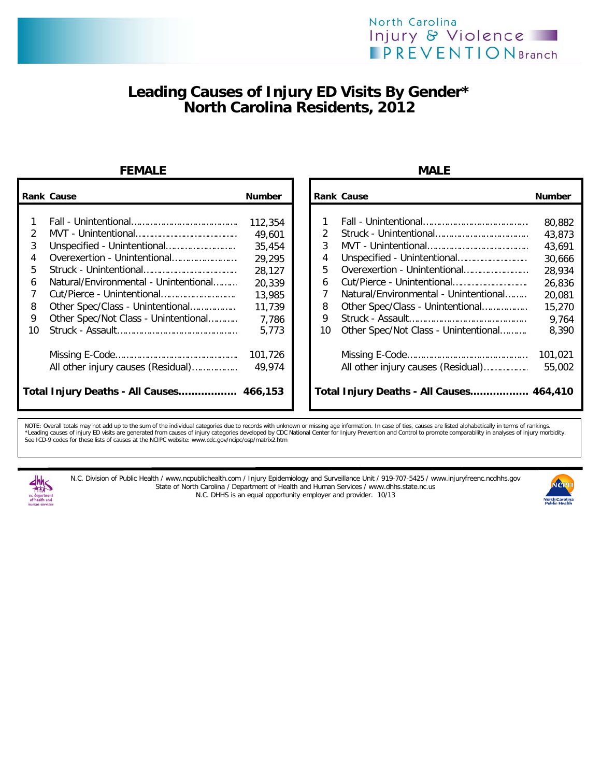# **Leading Causes of Injury ED Visits By Gender\* North Carolina Residents, 2012**

### **FEMALE** MALE

|               | <b>Rank Cause</b>                        | <b>Number</b>     |    | <b>Rank Cause</b>                        |                                       | <b>Number</b>    |
|---------------|------------------------------------------|-------------------|----|------------------------------------------|---------------------------------------|------------------|
| $\mathcal{P}$ |                                          | 112,354<br>49.601 |    |                                          |                                       | 80,882<br>43,873 |
| 3             |                                          | 35,454            |    |                                          |                                       | 43,691           |
| 4             |                                          | 29,295            | 4  |                                          |                                       | 30,666           |
| 5.            |                                          | 28,127            | 5. |                                          | Overexertion - Unintentional          | 28,934           |
| 6             | Natural/Environmental - Unintentional    | 20,339            | 6  |                                          |                                       | 26,836           |
|               |                                          | 13,985            |    |                                          | Natural/Environmental - Unintentional | 20,081           |
| 8             | Other Spec/Class - Unintentional         | 11.739            | 8  |                                          | Other Spec/Class - Unintentional      | 15,270           |
| 9             | Other Spec/Not Class - Unintentional     | 7,786             | 9  |                                          |                                       | 9,764            |
| 10            |                                          | 5,773             | 10 |                                          | Other Spec/Not Class - Unintentional  | 8,390            |
|               |                                          | 101,726           |    |                                          |                                       | 101,021          |
|               | All other injury causes (Residual)       | 49,974            |    |                                          | All other injury causes (Residual)    | 55,002           |
|               | Total Injury Deaths - All Causes 466,153 |                   |    | Total Injury Deaths - All Causes 464,410 |                                       |                  |

| Cause                                 | <b>Number</b> |  |                                          | <b>Rank Cause</b>                     | <b>Number</b> |
|---------------------------------------|---------------|--|------------------------------------------|---------------------------------------|---------------|
|                                       |               |  |                                          |                                       |               |
|                                       | 112,354       |  |                                          |                                       | 80,882        |
|                                       | 49,601        |  |                                          |                                       | 43,873        |
| Unspecified - Unintentional           | 35,454        |  | 3                                        |                                       | 43,691        |
| Overexertion - Unintentional          | 29,295        |  | 4                                        |                                       | 30,666        |
|                                       | 28,127        |  | 5.                                       | Overexertion - Unintentional          | 28,934        |
| Natural/Environmental - Unintentional | 20,339        |  | 6                                        |                                       | 26,836        |
| Cut/Pierce - Unintentional            | 13,985        |  |                                          | Natural/Environmental - Unintentional | 20,081        |
| Other Spec/Class - Unintentional      | 11,739        |  | 8                                        | Other Spec/Class - Unintentional      | 15,270        |
| Other Spec/Not Class - Unintentional  | 7,786         |  | 9                                        |                                       | 9,764         |
|                                       | 5,773         |  | 10                                       | Other Spec/Not Class - Unintentional  | 8,390         |
|                                       | 101,726       |  |                                          |                                       | 101,021       |
| All other injury causes (Residual)    | 49,974        |  |                                          | All other injury causes (Residual)    | 55,002        |
| Injury Deaths - All Causes 466,153    |               |  | Total Injury Deaths - All Causes 464,410 |                                       |               |

NOTE: Overall totals may not add up to the sum of the individual categories due to records with unknown or missing age information. In case of ties, causes are listed alphabetically in terms of rankings.<br>\*Leading causes of See ICD-9 codes for these lists of causes at the NCIPC website: www.cdc.gov/ncipc/osp/matrix2.htm



N.C. Division of Public Health / www.ncpublichealth.com / Injury Epidemiology and Surveillance Unit / 919-707-5425 / www.injuryfreenc.ncdhhs.gov State of North Carolina / Department of Health and Human Services / www.dhhs.state.nc.us N.C. DHHS is an equal opportunity employer and provider. 10/13

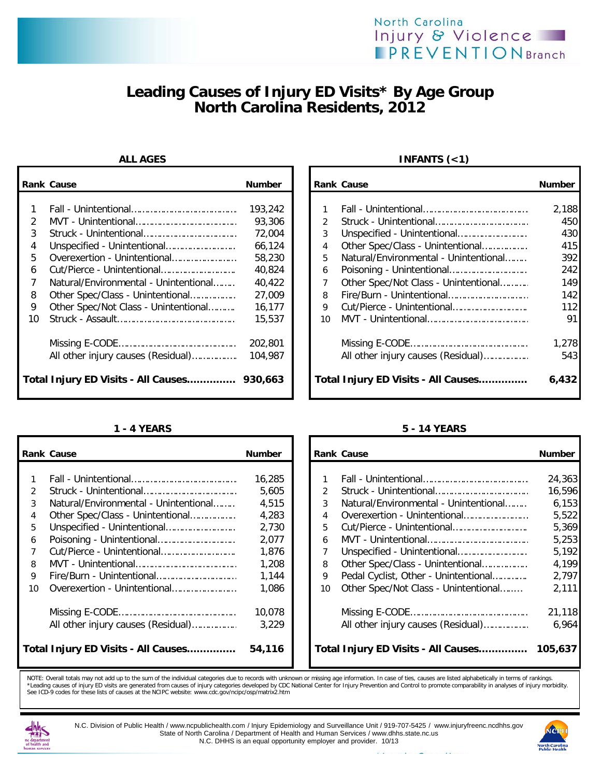# **Leading Causes of Injury ED Visits\* By Age Group North Carolina Residents, 2012**

|               | <b>Rank Cause</b>                           | <b>Number</b> |    | <b>Rank Cause</b>                     | <b>Number</b> |
|---------------|---------------------------------------------|---------------|----|---------------------------------------|---------------|
|               |                                             |               |    |                                       |               |
|               |                                             | 193,242       |    |                                       | 2,188         |
| $\mathcal{P}$ |                                             | 93,306        |    |                                       | 450           |
| 3             |                                             | 72,004        | 3  |                                       | 430           |
| 4             |                                             | 66,124        | 4  | Other Spec/Class - Unintentional      | 415           |
| 5.            | Overexertion - Unintentional                | 58,230        | 5. | Natural/Environmental - Unintentional | 392           |
| 6             |                                             | 40,824        | 6  |                                       | 242           |
|               | Natural/Environmental - Unintentional       | 40,422        |    | Other Spec/Not Class - Unintentional  | 149           |
| 8             | Other Spec/Class - Unintentional            | 27,009        | 8  |                                       | 142           |
| 9             | Other Spec/Not Class - Unintentional        | 16,177        | 9  |                                       | 112           |
| 10            |                                             | 15,537        | 10 |                                       | 91            |
|               |                                             | 202,801       |    |                                       | 1,278         |
|               | All other injury causes (Residual)          | 104,987       |    | All other injury causes (Residual)    | 543           |
|               | Total Injury ED Visits - All Causes 930,663 |               |    | Total Injury ED Visits - All Causes   | 6,432         |

## **ALL AGES INFANTS (<1)**

| Cause                                 | <b>Number</b> |               | <b>Rank Cause</b>                     | <b>Number</b> |
|---------------------------------------|---------------|---------------|---------------------------------------|---------------|
|                                       |               |               |                                       |               |
|                                       | 193,242       |               |                                       | 2,188         |
|                                       | 93,306        | $\mathcal{P}$ |                                       | 450           |
|                                       | 72,004        | 3             |                                       | 430           |
| Unspecified - Unintentional           | 66.124        | 4             | Other Spec/Class - Unintentional      | 415           |
| Overexertion - Unintentional          | 58,230        | 5             | Natural/Environmental - Unintentional | 392           |
| Cut/Pierce - Unintentional            | 40,824        | 6             |                                       | 242           |
| Natural/Environmental - Unintentional | 40.422        |               | Other Spec/Not Class - Unintentional  | 149           |
| Other Spec/Class - Unintentional      | 27,009        | 8             |                                       | 142           |
| Other Spec/Not Class - Unintentional  | 16,177        | 9             |                                       | 112           |
|                                       | 15,537        | 10            |                                       | 91            |
|                                       | 202,801       |               |                                       | 1,278         |
| All other injury causes (Residual)    | 104,987       |               | All other injury causes (Residual)    | 543           |
| Injury ED Visits - All Causes 930,663 |               |               | Total Injury ED Visits - All Causes   | 6,432         |

|               | <b>Rank Cause</b>                     | <b>Number</b> |    | <b>Rank Cause</b>                     | <b>Number</b> |
|---------------|---------------------------------------|---------------|----|---------------------------------------|---------------|
|               |                                       |               |    |                                       |               |
|               |                                       | 16,285        |    |                                       | 24,363        |
| $\mathcal{P}$ |                                       | 5,605         |    |                                       | 16,596        |
| 3             | Natural/Environmental - Unintentional | 4,515         | 3  | Natural/Environmental - Unintentional | 6,153         |
| 4             | Other Spec/Class - Unintentional      | 4,283         | 4  | Overexertion - Unintentional          | 5,522         |
| 5             |                                       | 2,730         | 5  | Cut/Pierce - Unintentional            | 5,369         |
| 6             |                                       | 2,077         | 6  |                                       | 5,253         |
|               |                                       | 1,876         |    |                                       | 5,192         |
| 8             |                                       | 1,208         | 8  | Other Spec/Class - Unintentional      | 4,199         |
| 9             |                                       | 1,144         | 9  | Pedal Cyclist, Other - Unintentional  | 2,797         |
| 10            | Overexertion - Unintentional          | 1,086         | 10 | Other Spec/Not Class - Unintentional  | 2,111         |
|               |                                       | 10,078        |    |                                       | 21,118        |
|               | All other injury causes (Residual)    | 3,229         |    | All other injury causes (Residual)    | 6.964         |
|               | Total Injury ED Visits - All Causes   | 54,116        |    | Total Injury ED Visits - All Causes   | 105,637       |

## **1 - 4 YEARS 5 - 14 YEARS**

| Cause                                 | <b>Number</b> |               | <b>Rank Cause</b>                     | <b>Number</b> |
|---------------------------------------|---------------|---------------|---------------------------------------|---------------|
|                                       |               |               |                                       |               |
|                                       | 16,285        |               |                                       | 24,363        |
|                                       | 5,605         | $\mathcal{P}$ |                                       | 16,596        |
| Natural/Environmental - Unintentional | 4,515         | 3             | Natural/Environmental - Unintentional | 6,153         |
| Other Spec/Class - Unintentional      | 4,283         | 4             |                                       | 5,522         |
| Unspecified - Unintentional           | 2,730         | 5             |                                       | 5,369         |
| Poisoning - Unintentional             | 2.077         | 6             |                                       | 5,253         |
| Cut/Pierce - Unintentional            | 1,876         |               |                                       | 5,192         |
|                                       | 1,208         | 8             | Other Spec/Class - Unintentional      | 4,199         |
| Fire/Burn - Unintentional             | 1,144         | 9             | Pedal Cyclist, Other - Unintentional  | 2,797         |
| Overexertion - Unintentional          | 1,086         | 10            | Other Spec/Not Class - Unintentional  | 2,111         |
|                                       | 10,078        |               |                                       | 21,118        |
| All other injury causes (Residual)    | 3,229         |               | All other injury causes (Residual)    | 6,964         |
| Injury ED Visits - All Causes         | 54,116        |               | Total Injury ED Visits - All Causes   | 105,637       |

NOTE: Overall totals may not add up to the sum of the individual categories due to records with unknown or missing age information. In case of ties, causes are listed alphabetically in terms of rankings.<br>\*Leading caues for



N.C. Division of Public Health / www.ncpublichealth.com / Injury Epidemiology and Surveillance Unit / 919-707-5425 / www.injuryfreenc.ncdhhs.gov State of North Carolina / Department of Health and Human Services / www.dhhs.state.nc.us N.C. DHHS is an equal opportunity employer and provider. 10/13